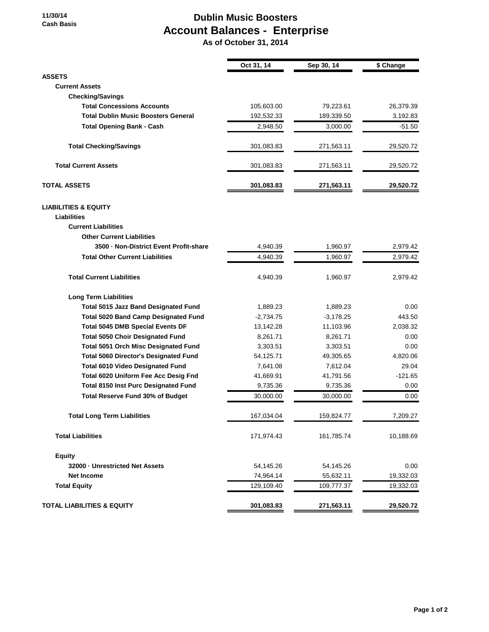## **Dublin Music Boosters Account Balances - Enterprise**

 **As of October 31, 2014**

|                                              | Oct 31, 14  | Sep 30, 14  | \$ Change |
|----------------------------------------------|-------------|-------------|-----------|
| <b>ASSETS</b>                                |             |             |           |
| <b>Current Assets</b>                        |             |             |           |
| <b>Checking/Savings</b>                      |             |             |           |
| <b>Total Concessions Accounts</b>            | 105,603.00  | 79,223.61   | 26,379.39 |
| <b>Total Dublin Music Boosters General</b>   | 192,532.33  | 189,339.50  | 3,192.83  |
| <b>Total Opening Bank - Cash</b>             | 2,948.50    | 3,000.00    | $-51.50$  |
| <b>Total Checking/Savings</b>                | 301,083.83  | 271,563.11  | 29,520.72 |
| <b>Total Current Assets</b>                  | 301,083.83  | 271,563.11  | 29,520.72 |
| <b>TOTAL ASSETS</b>                          | 301,083.83  | 271,563.11  | 29,520.72 |
| <b>LIABILITIES &amp; EQUITY</b>              |             |             |           |
| <b>Liabilities</b>                           |             |             |           |
| <b>Current Liabilities</b>                   |             |             |           |
| <b>Other Current Liabilities</b>             |             |             |           |
| 3500 - Non-District Event Profit-share       | 4,940.39    | 1,960.97    | 2,979.42  |
| <b>Total Other Current Liabilities</b>       | 4,940.39    | 1,960.97    | 2,979.42  |
| <b>Total Current Liabilities</b>             | 4,940.39    | 1,960.97    | 2,979.42  |
| <b>Long Term Liabilities</b>                 |             |             |           |
| <b>Total 5015 Jazz Band Designated Fund</b>  | 1,889.23    | 1,889.23    | 0.00      |
| <b>Total 5020 Band Camp Designated Fund</b>  | $-2,734.75$ | $-3,178.25$ | 443.50    |
| <b>Total 5045 DMB Special Events DF</b>      | 13,142.28   | 11,103.96   | 2,038.32  |
| <b>Total 5050 Choir Designated Fund</b>      | 8,261.71    | 8,261.71    | 0.00      |
| <b>Total 5051 Orch Misc Designated Fund</b>  | 3,303.51    | 3,303.51    | 0.00      |
| <b>Total 5060 Director's Designated Fund</b> | 54,125.71   | 49,305.65   | 4,820.06  |
| <b>Total 6010 Video Designated Fund</b>      | 7,641.08    | 7,612.04    | 29.04     |
| Total 6020 Uniform Fee Acc Desig Fnd         | 41,669.91   | 41,791.56   | $-121.65$ |
| <b>Total 8150 Inst Purc Designated Fund</b>  | 9,735.36    | 9,735.36    | 0.00      |
| <b>Total Reserve Fund 30% of Budget</b>      | 30,000.00   | 30,000.00   | 0.00      |
| <b>Total Long Term Liabilities</b>           | 167,034.04  | 159,824.77  | 7,209.27  |
| <b>Total Liabilities</b>                     | 171,974.43  | 161,785.74  | 10,188.69 |
| <b>Equity</b>                                |             |             |           |
| 32000 - Unrestricted Net Assets              | 54,145.26   | 54,145.26   | 0.00      |
| <b>Net Income</b>                            | 74,964.14   | 55,632.11   | 19,332.03 |
| <b>Total Equity</b>                          | 129,109.40  | 109,777.37  | 19,332.03 |
| <b>TOTAL LIABILITIES &amp; EQUITY</b>        | 301,083.83  | 271,563.11  | 29,520.72 |